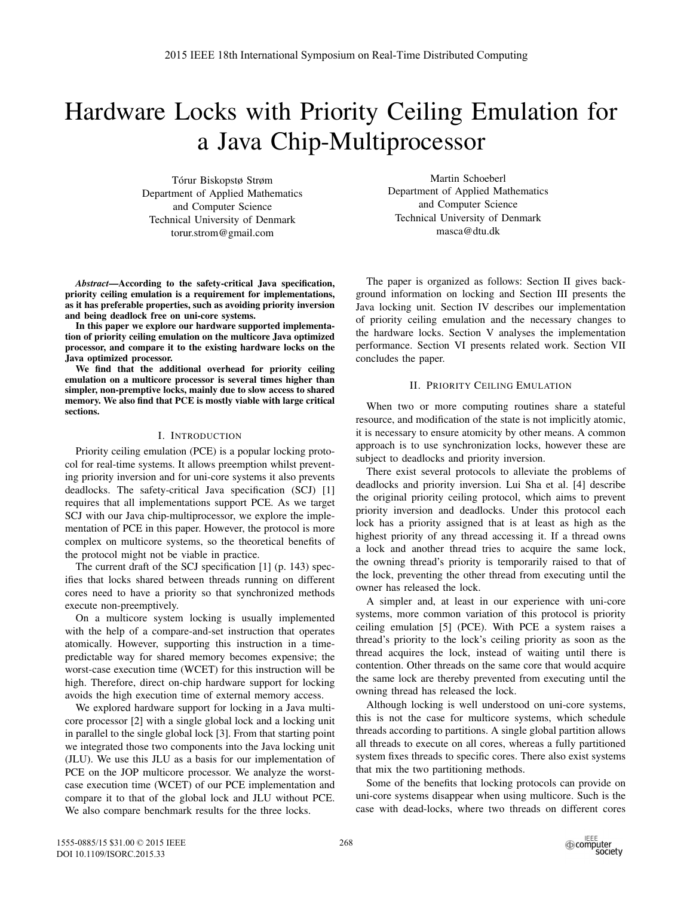# Hardware Locks with Priority Ceiling Emulation for a Java Chip-Multiprocessor

Torur Biskopstø Strøm ´ Department of Applied Mathematics and Computer Science Technical University of Denmark torur.strom@gmail.com

*Abstract*—According to the safety-critical Java specification, priority ceiling emulation is a requirement for implementations, as it has preferable properties, such as avoiding priority inversion and being deadlock free on uni-core systems.

In this paper we explore our hardware supported implementation of priority ceiling emulation on the multicore Java optimized processor, and compare it to the existing hardware locks on the Java optimized processor.

We find that the additional overhead for priority ceiling emulation on a multicore processor is several times higher than simpler, non-premptive locks, mainly due to slow access to shared memory. We also find that PCE is mostly viable with large critical sections.

## I. INTRODUCTION

Priority ceiling emulation (PCE) is a popular locking protocol for real-time systems. It allows preemption whilst preventing priority inversion and for uni-core systems it also prevents deadlocks. The safety-critical Java specification (SCJ) [1] requires that all implementations support PCE. As we target SCJ with our Java chip-multiprocessor, we explore the implementation of PCE in this paper. However, the protocol is more complex on multicore systems, so the theoretical benefits of the protocol might not be viable in practice.

The current draft of the SCJ specification [1] (p. 143) specifies that locks shared between threads running on different cores need to have a priority so that synchronized methods execute non-preemptively.

On a multicore system locking is usually implemented with the help of a compare-and-set instruction that operates atomically. However, supporting this instruction in a timepredictable way for shared memory becomes expensive; the worst-case execution time (WCET) for this instruction will be high. Therefore, direct on-chip hardware support for locking avoids the high execution time of external memory access.

We explored hardware support for locking in a Java multicore processor [2] with a single global lock and a locking unit in parallel to the single global lock [3]. From that starting point we integrated those two components into the Java locking unit (JLU). We use this JLU as a basis for our implementation of PCE on the JOP multicore processor. We analyze the worstcase execution time (WCET) of our PCE implementation and compare it to that of the global lock and JLU without PCE. We also compare benchmark results for the three locks.

Martin Schoeberl Department of Applied Mathematics and Computer Science Technical University of Denmark masca@dtu.dk

The paper is organized as follows: Section II gives background information on locking and Section III presents the Java locking unit. Section IV describes our implementation of priority ceiling emulation and the necessary changes to the hardware locks. Section V analyses the implementation performance. Section VI presents related work. Section VII concludes the paper.

# II. PRIORITY CEILING EMULATION

When two or more computing routines share a stateful resource, and modification of the state is not implicitly atomic, it is necessary to ensure atomicity by other means. A common approach is to use synchronization locks, however these are subject to deadlocks and priority inversion.

There exist several protocols to alleviate the problems of deadlocks and priority inversion. Lui Sha et al. [4] describe the original priority ceiling protocol, which aims to prevent priority inversion and deadlocks. Under this protocol each lock has a priority assigned that is at least as high as the highest priority of any thread accessing it. If a thread owns a lock and another thread tries to acquire the same lock, the owning thread's priority is temporarily raised to that of the lock, preventing the other thread from executing until the owner has released the lock.

A simpler and, at least in our experience with uni-core systems, more common variation of this protocol is priority ceiling emulation [5] (PCE). With PCE a system raises a thread's priority to the lock's ceiling priority as soon as the thread acquires the lock, instead of waiting until there is contention. Other threads on the same core that would acquire the same lock are thereby prevented from executing until the owning thread has released the lock.

Although locking is well understood on uni-core systems, this is not the case for multicore systems, which schedule threads according to partitions. A single global partition allows all threads to execute on all cores, whereas a fully partitioned system fixes threads to specific cores. There also exist systems that mix the two partitioning methods.

Some of the benefits that locking protocols can provide on uni-core systems disappear when using multicore. Such is the case with dead-locks, where two threads on different cores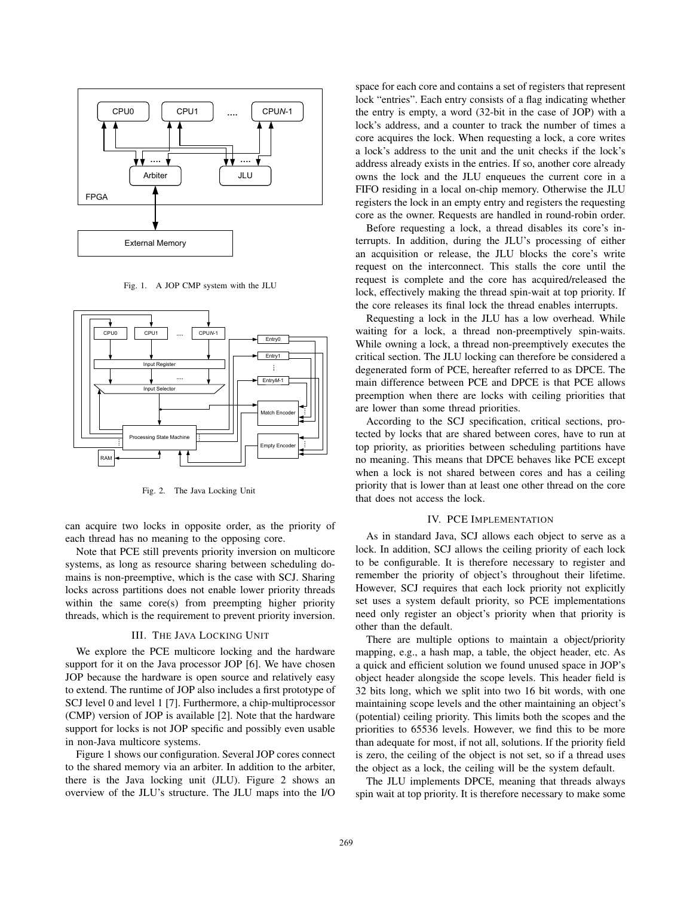

Fig. 1. A JOP CMP system with the JLU



Fig. 2. The Java Locking Unit

can acquire two locks in opposite order, as the priority of each thread has no meaning to the opposing core.

Note that PCE still prevents priority inversion on multicore systems, as long as resource sharing between scheduling domains is non-preemptive, which is the case with SCJ. Sharing locks across partitions does not enable lower priority threads within the same core(s) from preempting higher priority threads, which is the requirement to prevent priority inversion.

## III. THE JAVA LOCKING UNIT

We explore the PCE multicore locking and the hardware support for it on the Java processor JOP [6]. We have chosen JOP because the hardware is open source and relatively easy to extend. The runtime of JOP also includes a first prototype of SCJ level 0 and level 1 [7]. Furthermore, a chip-multiprocessor (CMP) version of JOP is available [2]. Note that the hardware support for locks is not JOP specific and possibly even usable in non-Java multicore systems.

Figure 1 shows our configuration. Several JOP cores connect to the shared memory via an arbiter. In addition to the arbiter, there is the Java locking unit (JLU). Figure 2 shows an overview of the JLU's structure. The JLU maps into the I/O

space for each core and contains a set of registers that represent lock "entries". Each entry consists of a flag indicating whether the entry is empty, a word (32-bit in the case of JOP) with a lock's address, and a counter to track the number of times a core acquires the lock. When requesting a lock, a core writes a lock's address to the unit and the unit checks if the lock's address already exists in the entries. If so, another core already owns the lock and the JLU enqueues the current core in a FIFO residing in a local on-chip memory. Otherwise the JLU registers the lock in an empty entry and registers the requesting core as the owner. Requests are handled in round-robin order.

Before requesting a lock, a thread disables its core's interrupts. In addition, during the JLU's processing of either an acquisition or release, the JLU blocks the core's write request on the interconnect. This stalls the core until the request is complete and the core has acquired/released the lock, effectively making the thread spin-wait at top priority. If the core releases its final lock the thread enables interrupts.

Requesting a lock in the JLU has a low overhead. While waiting for a lock, a thread non-preemptively spin-waits. While owning a lock, a thread non-preemptively executes the critical section. The JLU locking can therefore be considered a degenerated form of PCE, hereafter referred to as DPCE. The main difference between PCE and DPCE is that PCE allows preemption when there are locks with ceiling priorities that are lower than some thread priorities.

According to the SCJ specification, critical sections, protected by locks that are shared between cores, have to run at top priority, as priorities between scheduling partitions have no meaning. This means that DPCE behaves like PCE except when a lock is not shared between cores and has a ceiling priority that is lower than at least one other thread on the core that does not access the lock.

#### IV. PCE IMPLEMENTATION

As in standard Java, SCJ allows each object to serve as a lock. In addition, SCJ allows the ceiling priority of each lock to be configurable. It is therefore necessary to register and remember the priority of object's throughout their lifetime. However, SCJ requires that each lock priority not explicitly set uses a system default priority, so PCE implementations need only register an object's priority when that priority is other than the default.

There are multiple options to maintain a object/priority mapping, e.g., a hash map, a table, the object header, etc. As a quick and efficient solution we found unused space in JOP's object header alongside the scope levels. This header field is 32 bits long, which we split into two 16 bit words, with one maintaining scope levels and the other maintaining an object's (potential) ceiling priority. This limits both the scopes and the priorities to 65536 levels. However, we find this to be more than adequate for most, if not all, solutions. If the priority field is zero, the ceiling of the object is not set, so if a thread uses the object as a lock, the ceiling will be the system default.

The JLU implements DPCE, meaning that threads always spin wait at top priority. It is therefore necessary to make some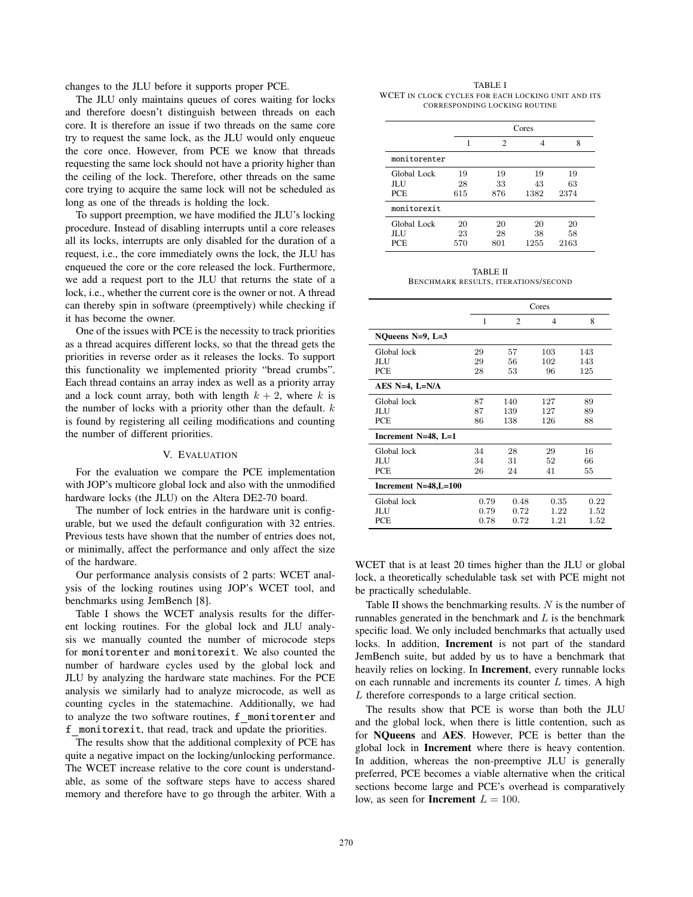changes to the JLU before it supports proper PCE.

The JLU only maintains queues of cores waiting for locks and therefore doesn't distinguish between threads on each core. It is therefore an issue if two threads on the same core try to request the same lock, as the JLU would only enqueue the core once. However, from PCE we know that threads requesting the same lock should not have a priority higher than the ceiling of the lock. Therefore, other threads on the same core trying to acquire the same lock will not be scheduled as long as one of the threads is holding the lock.

To support preemption, we have modified the JLU's locking procedure. Instead of disabling interrupts until a core releases all its locks, interrupts are only disabled for the duration of a request, i.e., the core immediately owns the lock, the JLU has enqueued the core or the core released the lock. Furthermore, we add a request port to the JLU that returns the state of a lock, i.e., whether the current core is the owner or not. A thread can thereby spin in software (preemptively) while checking if it has become the owner.

One of the issues with PCE is the necessity to track priorities as a thread acquires different locks, so that the thread gets the priorities in reverse order as it releases the locks. To support this functionality we implemented priority "bread crumbs". Each thread contains an array index as well as a priority array and a lock count array, both with length  $k + 2$ , where k is the number of locks with a priority other than the default.  $k$ is found by registering all ceiling modifications and counting the number of different priorities.

## V. EVALUATION

For the evaluation we compare the PCE implementation with JOP's multicore global lock and also with the unmodified hardware locks (the JLU) on the Altera DE2-70 board.

The number of lock entries in the hardware unit is configurable, but we used the default configuration with 32 entries. Previous tests have shown that the number of entries does not, or minimally, affect the performance and only affect the size of the hardware.

Our performance analysis consists of 2 parts: WCET analysis of the locking routines using JOP's WCET tool, and benchmarks using JemBench [8].

Table I shows the WCET analysis results for the different locking routines. For the global lock and JLU analysis we manually counted the number of microcode steps for monitorenter and monitorexit. We also counted the number of hardware cycles used by the global lock and JLU by analyzing the hardware state machines. For the PCE analysis we similarly had to analyze microcode, as well as counting cycles in the statemachine. Additionally, we had to analyze the two software routines, f monitorenter and f monitorexit, that read, track and update the priorities.

The results show that the additional complexity of PCE has quite a negative impact on the locking/unlocking performance. The WCET increase relative to the core count is understandable, as some of the software steps have to access shared memory and therefore have to go through the arbiter. With a

TABLE I WCET IN CLOCK CYCLES FOR EACH LOCKING UNIT AND ITS CORRESPONDING LOCKING ROUTINE

|                                     |                 | Cores           |                  |                  |  |  |  |  |
|-------------------------------------|-----------------|-----------------|------------------|------------------|--|--|--|--|
|                                     |                 | 2               |                  | 8                |  |  |  |  |
| monitorenter                        |                 |                 |                  |                  |  |  |  |  |
| Global Lock<br>JL J J<br><b>PCE</b> | 19<br>28<br>615 | 19<br>33<br>876 | 19<br>43<br>1382 | 19<br>63<br>2374 |  |  |  |  |
| monitorexit                         |                 |                 |                  |                  |  |  |  |  |
| Global Lock<br>ЛIJ<br>PCE           | 20<br>23<br>570 | 20<br>28<br>801 | 20<br>38<br>1255 | 20<br>58<br>2163 |  |  |  |  |

TABLE II BENCHMARK RESULTS, ITERATIONS/SECOND

|                       | Cores        |                |      |      |  |
|-----------------------|--------------|----------------|------|------|--|
|                       | $\mathbf{1}$ | $\overline{2}$ | 4    | 8    |  |
| NQueens $N=9$ , $L=3$ |              |                |      |      |  |
| Global lock           | 29           | 57             | 103  | 143  |  |
| JL J J                | 29           | 56             | 102  | 143  |  |
| <b>PCE</b>            | 28           | 53             | 96   | 125  |  |
| AES $N=4$ , L=N/A     |              |                |      |      |  |
| Global lock           | 87           | 140            | 127  | 89   |  |
| ЛIJ                   | 87           | 139            | 127  | 89   |  |
| <b>PCE</b>            | 86           | 138            | 126  | 88   |  |
| Increment N=48, L=1   |              |                |      |      |  |
| Global lock           | 34           | 28             | 29   | 16   |  |
| ЛIJ                   | 34           | 31             | 52   | 66   |  |
| <b>PCE</b>            | 26           | 24             | 41   | 55   |  |
| Increment N=48,L=100  |              |                |      |      |  |
| Global lock           | 0.79         | 0.48           | 0.35 | 0.22 |  |
| JL J J                | 0.79         | 0.72           | 1.22 | 1.52 |  |
| <b>PCE</b>            | 0.78         | 0.72           | 1.21 | 1.52 |  |

WCET that is at least 20 times higher than the JLU or global lock, a theoretically schedulable task set with PCE might not be practically schedulable.

Table II shows the benchmarking results. N is the number of runnables generated in the benchmark and  $L$  is the benchmark specific load. We only included benchmarks that actually used locks. In addition, **Increment** is not part of the standard JemBench suite, but added by us to have a benchmark that heavily relies on locking. In **Increment**, every runnable locks on each runnable and increments its counter  $L$  times. A high L therefore corresponds to a large critical section.

The results show that PCE is worse than both the JLU and the global lock, when there is little contention, such as for NQueens and AES. However, PCE is better than the global lock in Increment where there is heavy contention. In addition, whereas the non-preemptive JLU is generally preferred, PCE becomes a viable alternative when the critical sections become large and PCE's overhead is comparatively low, as seen for **Increment**  $L = 100$ .